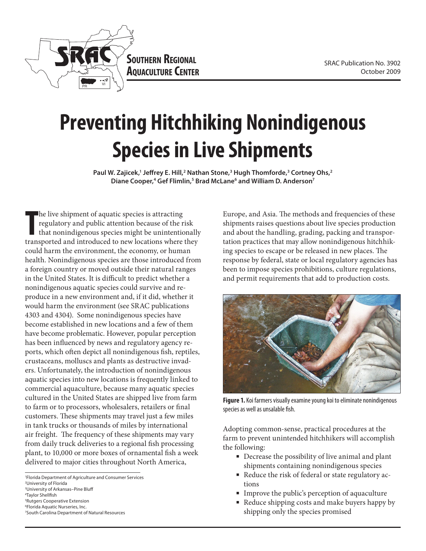

# **Preventing Hitchhiking Nonindigenous Species in Live Shipments**

Paul W. Zajicek,<sup>1</sup> Jeffrey E. Hill,<sup>2</sup> Nathan Stone,<sup>3</sup> Hugh Thomforde,<sup>3</sup> Cortney Ohs,<sup>2</sup> Diane Cooper,<sup>4</sup> Gef Flimlin,<sup>5</sup> Brad McLane<sup>6</sup> and William D. Anderson<sup>7</sup>

The live shipment of aquatic species is attracting<br>regulatory and public attention because of the risk<br>that nonindigenous species might be unintentionally<br>transported and introduced to new locations where they he live shipment of aquatic species is attracting regulatory and public attention because of the risk that nonindigenous species might be unintentionally could harm the environment, the economy, or human health. Nonindigenous species are those introduced from a foreign country or moved outside their natural ranges in the United States. It is difficult to predict whether a nonindigenous aquatic species could survive and reproduce in a new environment and, if it did, whether it would harm the environment (see SRAC publications 4303 and 4304). Some nonindigenous species have become established in new locations and a few of them have become problematic. However, popular perception has been influenced by news and regulatory agency reports, which often depict all nonindigenous fish, reptiles, crustaceans, molluscs and plants as destructive invaders. Unfortunately, the introduction of nonindigenous aquatic species into new locations is frequently linked to commercial aquaculture, because many aquatic species cultured in the United States are shipped live from farm to farm or to processors, wholesalers, retailers or final customers. These shipments may travel just a few miles in tank trucks or thousands of miles by international air freight. The frequency of these shipments may vary from daily truck deliveries to a regional fish processing plant, to 10,000 or more boxes of ornamental fish a week delivered to major cities throughout North America,

- 2 University of Florida
- 3 University of Arkansas–Pine Bluff
- 4 Taylor Shellfish 5 Rutgers Cooperative Extension
- 6 Florida Aquatic Nurseries, Inc.
- 7 South Carolina Department of Natural Resources

Europe, and Asia. The methods and frequencies of these shipments raises questions about live species production and about the handling, grading, packing and transportation practices that may allow nonindigenous hitchhiking species to escape or be released in new places. The response by federal, state or local regulatory agencies has been to impose species prohibitions, culture regulations, and permit requirements that add to production costs.



**Figure 1.** Koi farmers visually examine young koi to eliminate nonindigenous species as well as unsalable fish.

Adopting common-sense, practical procedures at the farm to prevent unintended hitchhikers will accomplish the following:

- Decrease the possibility of live animal and plant shipments containing nonindigenous species
- Reduce the risk of federal or state regulatory actions
- Improve the public's perception of aquaculture
- Reduce shipping costs and make buyers happy by shipping only the species promised

<sup>1</sup> Florida Department of Agriculture and Consumer Services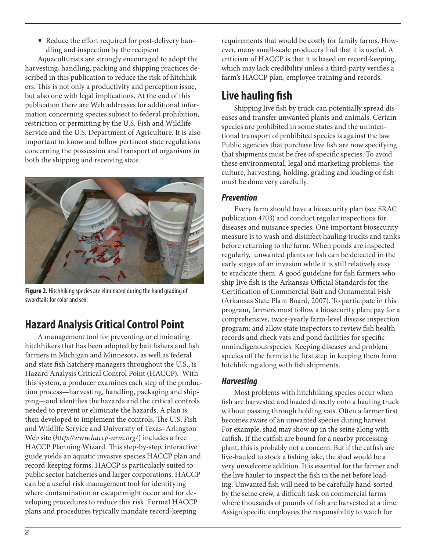■ Reduce the effort required for post-delivery handling and inspection by the recipient

Aquaculturists are strongly encouraged to adopt the harvesting, handling, packing and shipping practices described in this publication to reduce the risk of hitchhikers. This is not only a productivity and perception issue, but also one with legal implications. At the end of this publication there are Web addresses for additional information concerning species subject to federal prohibition, restriction or permitting by the U.S. Fish and Wildlife Service and the U.S. Department of Agriculture. It is also important to know and follow pertinent state regulations concerning the possession and transport of organisms in both the shipping and receiving state.



**Figure 2.** Hitchhiking species are eliminated during the hand grading of swordtails for color and sex.

# **Hazard Analysis Critical Control Point**

A management tool for preventing or eliminating hitchhikers that has been adopted by bait fishers and fish farmers in Michigan and Minnesota, as well as federal and state fish hatchery managers throughout the U.S., is Hazard Analysis Critical Control Point (HACCP). With this system, a producer examines each step of the production process—harvesting, handling, packaging and shipping—and identifies the hazards and the critical controls needed to prevent or eliminate the hazards. A plan is then developed to implement the controls. The U.S. Fish and Wildlife Service and University of Texas–Arlington Web site (*http://www.haccp-nrm.org/*) includes a free HACCP Planning Wizard. This step-by-step, interactive guide yields an aquatic invasive species HACCP plan and record-keeping forms. HACCP is particularly suited to public sector hatcheries and larger corporations. HACCP can be a useful risk management tool for identifying where contamination or escape might occur and for developing procedures to reduce this risk. Formal HACCP plans and procedures typically mandate record-keeping

requirements that would be costly for family farms. However, many small-scale producers find that it is useful. A criticism of HACCP is that it is based on record-keeping, which may lack credibility unless a third-party verifies a farm's HACCP plan, employee training and records.

# **Live hauling fish**

Shipping live fish by truck can potentially spread diseases and transfer unwanted plants and animals. Certain species are prohibited in some states and the unintentional transport of prohibited species is against the law. Public agencies that purchase live fish are now specifying that shipments must be free of specific species. To avoid these environmental, legal and marketing problems, the culture, harvesting, holding, grading and loading of fish must be done very carefully.

### *Prevention*

Every farm should have a biosecurity plan (see SRAC publication 4703) and conduct regular inspections for diseases and nuisance species. One important biosecurity measure is to wash and disinfect hauling trucks and tanks before returning to the farm. When ponds are inspected regularly, unwanted plants or fish can be detected in the early stages of an invasion while it is still relatively easy to eradicate them. A good guideline for fish farmers who ship live fish is the Arkansas Official Standards for the Certification of Commercial Bait and Ornamental Fish (Arkansas State Plant Board, 2007). To participate in this program, farmers must follow a biosecurity plan; pay for a comprehensive, twice-yearly farm-level disease inspection program; and allow state inspectors to review fish health records and check vats and pond facilities for specific nonindigenous species. Keeping diseases and problem species off the farm is the first step in keeping them from hitchhiking along with fish shipments.

## *Harvesting*

Most problems with hitchhiking species occur when fish are harvested and loaded directly onto a hauling truck without passing through holding vats. Often a farmer first becomes aware of an unwanted species during harvest. For example, shad may show up in the seine along with catfish. If the catfish are bound for a nearby processing plant, this is probably not a concern. But if the catfish are live-hauled to stock a fishing lake, the shad would be a very unwelcome addition. It is essential for the farmer and the live hauler to inspect the fish in the net before loading. Unwanted fish will need to be carefully hand-sorted by the seine crew, a difficult task on commercial farms where thousands of pounds of fish are harvested at a time. Assign specific employees the responsibility to watch for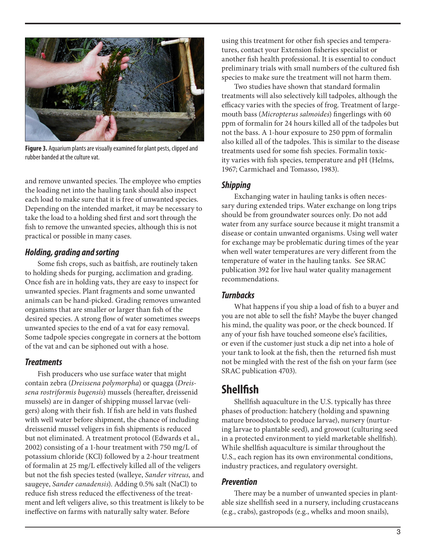

**Figure 3.** Aquarium plants are visually examined for plant pests, clipped and rubber banded at the culture vat.

and remove unwanted species. The employee who empties the loading net into the hauling tank should also inspect each load to make sure that it is free of unwanted species. Depending on the intended market, it may be necessary to take the load to a holding shed first and sort through the fish to remove the unwanted species, although this is not practical or possible in many cases.

### *Holding, grading and sorting*

Some fish crops, such as baitfish, are routinely taken to holding sheds for purging, acclimation and grading. Once fish are in holding vats, they are easy to inspect for unwanted species. Plant fragments and some unwanted animals can be hand-picked. Grading removes unwanted organisms that are smaller or larger than fish of the desired species. A strong flow of water sometimes sweeps unwanted species to the end of a vat for easy removal. Some tadpole species congregate in corners at the bottom of the vat and can be siphoned out with a hose.

### *Treatments*

Fish producers who use surface water that might contain zebra (*Dreissena polymorpha*) or quagga (*Dreissena rostriformis bugensis*) mussels (hereafter, dreissenid mussels) are in danger of shipping mussel larvae (veligers) along with their fish. If fish are held in vats flushed with well water before shipment, the chance of including dreissenid mussel veligers in fish shipments is reduced but not eliminated. A treatment protocol (Edwards et al., 2002) consisting of a 1-hour treatment with 750 mg/L of potassium chloride (KCl) followed by a 2-hour treatment of formalin at 25 mg/L effectively killed all of the veligers but not the fish species tested (walleye, *Sander vitreus,* and saugeye, *Sander canadensis*). Adding 0.5% salt (NaCl) to reduce fish stress reduced the effectiveness of the treatment and left veligers alive, so this treatment is likely to be ineffective on farms with naturally salty water. Before

using this treatment for other fish species and temperatures, contact your Extension fisheries specialist or another fish health professional. It is essential to conduct preliminary trials with small numbers of the cultured fish species to make sure the treatment will not harm them.

Two studies have shown that standard formalin treatments will also selectively kill tadpoles, although the efficacy varies with the species of frog. Treatment of largemouth bass (*Micropterus salmoides*) fingerlings with 60 ppm of formalin for 24 hours killed all of the tadpoles but not the bass. A 1-hour exposure to 250 ppm of formalin also killed all of the tadpoles. This is similar to the disease treatments used for some fish species. Formalin toxicity varies with fish species, temperature and pH (Helms, 1967; Carmichael and Tomasso, 1983).

### *Shipping*

Exchanging water in hauling tanks is often necessary during extended trips. Water exchange on long trips should be from groundwater sources only. Do not add water from any surface source because it might transmit a disease or contain unwanted organisms. Using well water for exchange may be problematic during times of the year when well water temperatures are very different from the temperature of water in the hauling tanks. See SRAC publication 392 for live haul water quality management recommendations.

### *Turnbacks*

What happens if you ship a load of fish to a buyer and you are not able to sell the fish? Maybe the buyer changed his mind, the quality was poor, or the check bounced. If any of your fish have touched someone else's facilities, or even if the customer just stuck a dip net into a hole of your tank to look at the fish, then the returned fish must not be mingled with the rest of the fish on your farm (see SRAC publication 4703).

# **Shellfish**

Shellfish aquaculture in the U.S. typically has three phases of production: hatchery (holding and spawning mature broodstock to produce larvae), nursery (nurturing larvae to plantable seed), and growout (culturing seed in a protected environment to yield marketable shellfish). While shellfish aquaculture is similar throughout the U.S., each region has its own environmental conditions, industry practices, and regulatory oversight.

### *Prevention*

There may be a number of unwanted species in plantable size shellfish seed in a nursery, including crustaceans (e.g., crabs), gastropods (e.g., whelks and moon snails),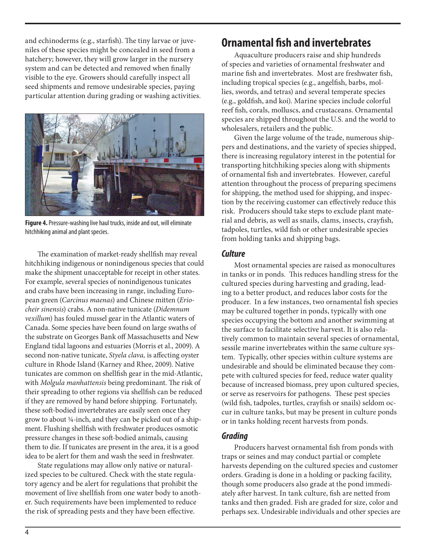and echinoderms (e.g., starfish). The tiny larvae or juveniles of these species might be concealed in seed from a hatchery; however, they will grow larger in the nursery system and can be detected and removed when finally visible to the eye. Growers should carefully inspect all seed shipments and remove undesirable species, paying particular attention during grading or washing activities.



**Figure 4.** Pressure-washing live haul trucks, inside and out, will eliminate hitchhiking animal and plant species.

The examination of market-ready shellfish may reveal hitchhiking indigenous or nonindigenous species that could make the shipment unacceptable for receipt in other states. For example, several species of nonindigenous tunicates and crabs have been increasing in range, including European green (*Carcinus maenas*) and Chinese mitten (*Eriocheir sinensis*) crabs. A non-native tunicate (*Didemnum vexillum*) has fouled mussel gear in the Atlantic waters of Canada. Some species have been found on large swaths of the substrate on Georges Bank off Massachusetts and New England tidal lagoons and estuaries (Morris et al., 2009). A second non-native tunicate, *Styela clava,* is affecting oyster culture in Rhode Island (Karney and Rhee, 2009). Native tunicates are common on shellfish gear in the mid-Atlantic, with *Molgula manhattensis* being predominant. The risk of their spreading to other regions via shellfish can be reduced if they are removed by hand before shipping. Fortunately, these soft-bodied invertebrates are easily seen once they grow to about ¼-inch, and they can be picked out of a shipment. Flushing shellfish with freshwater produces osmotic pressure changes in these soft-bodied animals, causing them to die. If tunicates are present in the area, it is a good idea to be alert for them and wash the seed in freshwater.

State regulations may allow only native or naturalized species to be cultured. Check with the state regulatory agency and be alert for regulations that prohibit the movement of live shellfish from one water body to another. Such requirements have been implemented to reduce the risk of spreading pests and they have been effective.

# **Ornamental fish and invertebrates**

Aquaculture producers raise and ship hundreds of species and varieties of ornamental freshwater and marine fish and invertebrates. Most are freshwater fish, including tropical species (e.g., angelfish, barbs, mollies, swords, and tetras) and several temperate species (e.g., goldfish, and koi). Marine species include colorful reef fish, corals, molluscs, and crustaceans. Ornamental species are shipped throughout the U.S. and the world to wholesalers, retailers and the public.

Given the large volume of the trade, numerous shippers and destinations, and the variety of species shipped, there is increasing regulatory interest in the potential for transporting hitchhiking species along with shipments of ornamental fish and invertebrates. However, careful attention throughout the process of preparing specimens for shipping, the method used for shipping, and inspection by the receiving customer can effectively reduce this risk. Producers should take steps to exclude plant material and debris, as well as snails, clams, insects, crayfish, tadpoles, turtles, wild fish or other undesirable species from holding tanks and shipping bags.

### *Culture*

Most ornamental species are raised as monocultures in tanks or in ponds. This reduces handling stress for the cultured species during harvesting and grading, leading to a better product, and reduces labor costs for the producer. In a few instances, two ornamental fish species may be cultured together in ponds, typically with one species occupying the bottom and another swimming at the surface to facilitate selective harvest. It is also relatively common to maintain several species of ornamental, sessile marine invertebrates within the same culture system. Typically, other species within culture systems are undesirable and should be eliminated because they compete with cultured species for feed, reduce water quality because of increased biomass, prey upon cultured species, or serve as reservoirs for pathogens. These pest species (wild fish, tadpoles, turtles, crayfish or snails) seldom occur in culture tanks, but may be present in culture ponds or in tanks holding recent harvests from ponds.

### *Grading*

Producers harvest ornamental fish from ponds with traps or seines and may conduct partial or complete harvests depending on the cultured species and customer orders. Grading is done in a holding or packing facility, though some producers also grade at the pond immediately after harvest. In tank culture, fish are netted from tanks and then graded. Fish are graded for size, color and perhaps sex. Undesirable individuals and other species are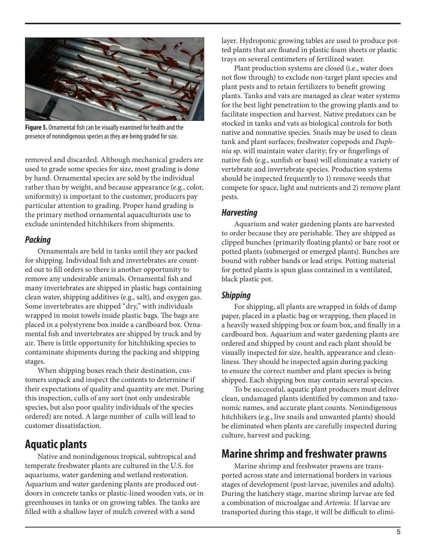

**Figure 5.** Ornamental fish can be visually examined for health and the presence of nonindigenous species as they are being graded for size.

removed and discarded. Although mechanical graders are used to grade some species for size, most grading is done by hand. Ornamental species are sold by the individual rather than by weight, and because appearance (e.g., color, uniformity) is important to the customer, producers pay particular attention to grading. Proper hand grading is the primary method ornamental aquaculturists use to exclude unintended hitchhikers from shipments.

### *Packing*

Ornamentals are held in tanks until they are packed for shipping. Individual fish and invertebrates are counted out to fill orders so there is another opportunity to remove any undesirable animals. Ornamental fish and many invertebrates are shipped in plastic bags containing clean water, shipping additives (e.g., salt), and oxygen gas. Some invertebrates are shipped "dry," with individuals wrapped in moist towels inside plastic bags. The bags are placed in a polystyrene box inside a cardboard box. Ornamental fish and invertebrates are shipped by truck and by air. There is little opportunity for hitchhiking species to contaminate shipments during the packing and shipping stages.

When shipping boxes reach their destination, customers unpack and inspect the contents to determine if their expectations of quality and quantity are met. During this inspection, culls of any sort (not only undesirable species, but also poor quality individuals of the species ordered) are noted. A large number of culls will lead to customer dissatisfaction.

# **Aquatic plants**

Native and nonindigenous tropical, subtropical and temperate freshwater plants are cultured in the U.S. for aquariums, water gardening and wetland restoration. Aquarium and water gardening plants are produced outdoors in concrete tanks or plastic-lined wooden vats, or in greenhouses in tanks or on growing tables. The tanks are filled with a shallow layer of mulch covered with a sand

layer. Hydroponic growing tables are used to produce potted plants that are floated in plastic foam sheets or plastic trays on several centimeters of fertilized water.

Plant production systems are closed (i.e., water does not flow through) to exclude non-target plant species and plant pests and to retain fertilizers to benefit growing plants. Tanks and vats are managed as clear water systems for the best light penetration to the growing plants and to facilitate inspection and harvest. Native predators can be stocked in tanks and vats as biological controls for both native and nonnative species. Snails may be used to clean tank and plant surfaces; freshwater copepods and *Daphnia* sp. will maintain water clarity; fry or fingerlings of native fish (e.g., sunfish or bass) will eliminate a variety of vertebrate and invertebrate species. Production systems should be inspected frequently to 1) remove weeds that compete for space, light and nutrients and 2) remove plant pests.

### *Harvesting*

Aquarium and water gardening plants are harvested to order because they are perishable. They are shipped as clipped bunches (primarily floating plants) or bare root or potted plants (submerged or emerged plants). Bunches are bound with rubber bands or lead strips. Potting material for potted plants is spun glass contained in a ventilated, black plastic pot.

# *Shipping*

For shipping, all plants are wrapped in folds of damp paper, placed in a plastic bag or wrapping, then placed in a heavily waxed shipping box or foam box, and finally in a cardboard box. Aquarium and water gardening plants are ordered and shipped by count and each plant should be visually inspected for size, health, appearance and cleanliness. They should be inspected again during packing to ensure the correct number and plant species is being shipped. Each shipping box may contain several species.

To be successful, aquatic plant producers must deliver clean, undamaged plants identified by common and taxonomic names, and accurate plant counts. Nonindigenous hitchhikers (e.g., live snails and unwanted plants) should be eliminated when plants are carefully inspected during culture, harvest and packing.

# **Marine shrimp and freshwater prawns**

Marine shrimp and freshwater prawns are transported across state and international borders in various stages of development (post-larvae, juveniles and adults). During the hatchery stage, marine shrimp larvae are fed a combination of microalgae and *Artemia.* If larvae are transported during this stage, it will be difficult to elimi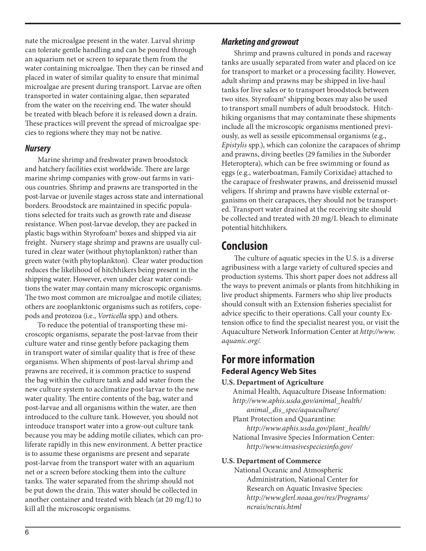nate the microalgae present in the water. Larval shrimp can tolerate gentle handling and can be poured through an aquarium net or screen to separate them from the water containing microalgae. Then they can be rinsed and placed in water of similar quality to ensure that minimal microalgae are present during transport. Larvae are often transported in water containing algae, then separated from the water on the receiving end. The water should be treated with bleach before it is released down a drain. These practices will prevent the spread of microalgae species to regions where they may not be native.

### *Nursery*

Marine shrimp and freshwater prawn broodstock and hatchery facilities exist worldwide. There are large marine shrimp companies with grow-out farms in various countries. Shrimp and prawns are transported in the post-larvae or juvenile stages across state and international borders. Broodstock are maintained in specific populations selected for traits such as growth rate and disease resistance. When post-larvae develop, they are packed in plastic bags within Styrofoam® boxes and shipped via air freight. Nursery stage shrimp and prawns are usually cultured in clear water (without phytoplankton) rather than green water (with phytoplankton). Clear water production reduces the likelihood of hitchhikers being present in the shipping water. However, even under clear water conditions the water may contain many microscopic organisms. The two most common are microalgae and motile ciliates; others are zooplanktonic organisms such as rotifers, copepods and protozoa (i.e., *Vorticella* spp.) and others.

To reduce the potential of transporting these microscopic organisms, separate the post-larvae from their culture water and rinse gently before packaging them in transport water of similar quality that is free of these organisms. When shipments of post-larval shrimp and prawns are received, it is common practice to suspend the bag within the culture tank and add water from the new culture system to acclimatize post-larvae to the new water quality. The entire contents of the bag, water and post-larvae and all organisms within the water, are then introduced to the culture tank. However, you should not introduce transport water into a grow-out culture tank because you may be adding motile ciliates, which can proliferate rapidly in this new environment. A better practice is to assume these organisms are present and separate post-larvae from the transport water with an aquarium net or a screen before stocking them into the culture tanks. The water separated from the shrimp should not be put down the drain. This water should be collected in another container and treated with bleach (at 20 mg/L) to kill all the microscopic organisms.

### *Marketing and growout*

Shrimp and prawns cultured in ponds and raceway tanks are usually separated from water and placed on ice for transport to market or a processing facility. However, adult shrimp and prawns may be shipped in live-haul tanks for live sales or to transport broodstock between two sites. Styrofoam® shipping boxes may also be used to transport small numbers of adult broodstock. Hitchhiking organisms that may contaminate these shipments include all the microscopic organisms mentioned previously, as well as sessile epicommensal organisms (e.g., *Epistylis* spp.), which can colonize the carapaces of shrimp and prawns, diving beetles (29 families in the Suborder Heteroptera), which can be free swimming or found as eggs (e.g., waterboatman, Family Corixidae) attached to the carapace of freshwater prawns, and dreissenid mussel veligers. If shrimp and prawns have visible external organisms on their carapaces, they should not be transported. Transport water drained at the receiving site should be collected and treated with 20 mg/L bleach to eliminate potential hitchhikers.

# **Conclusion**

The culture of aquatic species in the U.S. is a diverse agribusiness with a large variety of cultured species and production systems. This short paper does not address all the ways to prevent animals or plants from hitchhiking in live product shipments. Farmers who ship live products should consult with an Extension fisheries specialist for advice specific to their operations. Call your county Extension office to find the specialist nearest you, or visit the Aquaculture Network Information Center at *http://www. aquanic.org/.* 

# **For more information Federal Agency Web Sites**

#### **U.S. Department of Agriculture**

Animal Health, Aquaculture Disease Information: *http://www.aphis.usda.gov/animal\_health/ animal\_dis\_spec/aquaculture/* 

Plant Protection and Quarantine: *http://www.aphis.usda.gov/plant\_health/*  National Invasive Species Information Center: *http://www.invasivespeciesinfo.gov/* 

#### **U.S. Department of Commerce**

National Oceanic and Atmospheric Administration, National Center for Research on Aquatic Invasive Species: *http://www.glerl.noaa.gov/res/Programs/ ncrais/ncrais.html*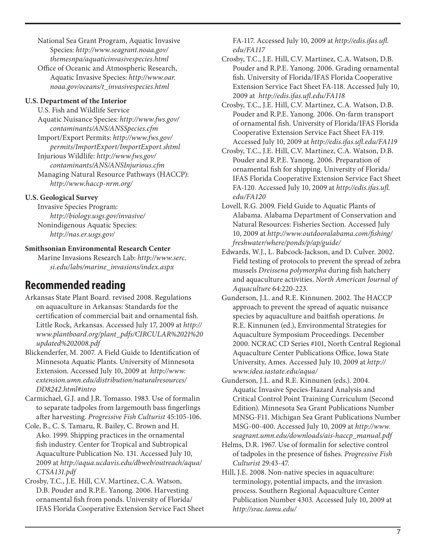National Sea Grant Program, Aquatic Invasive Species: *http://www.seagrant.noaa.gov/ themesnpa/aquaticinvasivespecies.html* Office of Oceanic and Atmospheric Research,

Aquatic Invasive Species: *http://www.oar. noaa.gov/oceans/t\_invasivespecies.html*

#### **U.S. Department of the Interior**

U.S. Fish and Wildlife Service Aquatic Nuisance Species: *http://www.fws.gov/ contaminants/ANS/ANSSpecies.cfm* Import/Export Permits: *http://www.fws.gov/ permits/ImportExport/ImportExport.shtml*  Injurious Wildlife: *http://www.fws.gov/ contaminants/ANS/ANSInjurious.cfm*  Managing Natural Resource Pathways (HACCP): *http://www.haccp-nrm.org/* 

### **U.S. Geological Survey**

Invasive Species Program: *http://biology.usgs.gov/invasive/*  Nonindigenous Aquatic Species: *http://nas.er.usgs.gov/* 

### **Smithsonian Environmental Research Center**

Marine Invasions Research Lab: *http://www.serc. si.edu/labs/marine\_invasions/index.aspx* 

# **Recommended reading**

Arkansas State Plant Board. revised 2008. Regulations on aquaculture in Arkansas: Standards for the certification of commercial bait and ornamental fish. Little Rock, Arkansas. Accessed July 17, 2009 at *http:// www.plantboard.org/plant\_pdfs/CIRCULAR%2021%20 updated%202008.pdf*

Blickenderfer, M. 2007. A Field Guide to Identification of Minnesota Aquatic Plants. University of Minnesota Extension. Accessed July 10, 2009 at *http://www. extension.umn.edu/distribution/naturalresources/ DD8242.html#intro* 

Carmichael, G.J. and J.R. Tomasso. 1983. Use of formalin to separate tadpoles from largemouth bass fingerlings after harvesting. *Progressive Fish Culturist* 45:105-106.

Cole, B., C. S. Tamaru, R. Bailey, C. Brown and H. Ako. 1999. Shipping practices in the ornamental fish industry. Center for Tropical and Subtropical Aquaculture Publication No. 131. Accessed July 10, 2009 at *http://aqua.ucdavis.edu/dbweb/outreach/aqua/ CTSA131.pdf* 

Crosby, T.C., J.E. Hill, C.V. Martinez, C.A. Watson, D.B. Pouder and R.P.E. Yanong. 2006. Harvesting ornamental fish from ponds. University of Florida/ IFAS Florida Cooperative Extension Service Fact Sheet FA-117. Accessed July 10, 2009 at *http://edis.ifas.ufl. edu/FA117* 

Crosby, T.C., J.E. Hill, C.V. Martinez, C.A. Watson, D.B. Pouder and R.P.E. Yanong. 2006. Grading ornamental fish. University of Florida/IFAS Florida Cooperative Extension Service Fact Sheet FA-118. Accessed July 10, 2009 at *http://edis.ifas.ufl.edu/FA118* 

Crosby, T.C., J.E. Hill, C.V. Martinez, C.A. Watson, D.B. Pouder and R.P.E. Yanong. 2006. On-farm transport of ornamental fish. University of Florida/IFAS Florida Cooperative Extension Service Fact Sheet FA-119. Accessed July 10, 2009 at *http://edis.ifas.ufl.edu/FA119* 

Crosby, T.C., J.E. Hill, C.V. Martinez, C.A. Watson, D.B. Pouder and R.P.E. Yanong. 2006. Preparation of ornamental fish for shipping. University of Florida/ IFAS Florida Cooperative Extension Service Fact Sheet FA-120. Accessed July 10, 2009 at *http://edis.ifas.ufl. edu/FA120* 

- Lovell, R.G. 2009. Field Guide to Aquatic Plants of Alabama. Alabama Department of Conservation and Natural Resources: Fisheries Section. Accessed July 10, 2009 at *http://www.outdooralabama.com/fishing/ freshwater/where/ponds/p/ap/guide/*
- Edwards, W.J., L. Babcock-Jackson, and D. Culver. 2002. Field testing of protocols to prevent the spread of zebra mussels *Dreissena polymorpha* during fish hatchery and aquaculture activities. *North American Journal of Aquaculture* 64:220-223.
- Gunderson, J.L. and R.E. Kinnunen. 2002. The HACCP approach to prevent the spread of aquatic nuisance species by aquaculture and baitfish operations. *In* R.E. Kinnunen (ed.), Environmental Strategies for Aquaculture Symposium Proceedings. December 2000. NCRAC CD Series #101, North Central Regional Aquaculture Center Publications Office, Iowa State University, Ames. Accessed July 10, 2009 at *http:// www.idea.iastate.edu/aqua/*

Gunderson, J.L. and R.E. Kinnunen (eds.). 2004. Aquatic Invasive Species-Hazard Analysis and Critical Control Point Training Curriculum (Second Edition). Minnesota Sea Grant Publications Number MNSG-F11. Michigan Sea Grant Publications Number MSG-00-400. Accessed July 10, 2009 at *http://www. seagrant.umn.edu/downloads/ais-haccp\_manual.pdf* 

Helms, D.R. 1967. Use of formalin for selective control of tadpoles in the presence of fishes. *Progressive Fish Culturist* 29:43-47.

Hill, J.E. 2008. Non-native species in aquaculture: terminology, potential impacts, and the invasion process. Southern Regional Aquaculture Center Publication Number 4303. Accessed July 10, 2009 at *http://srac.tamu.edu/*